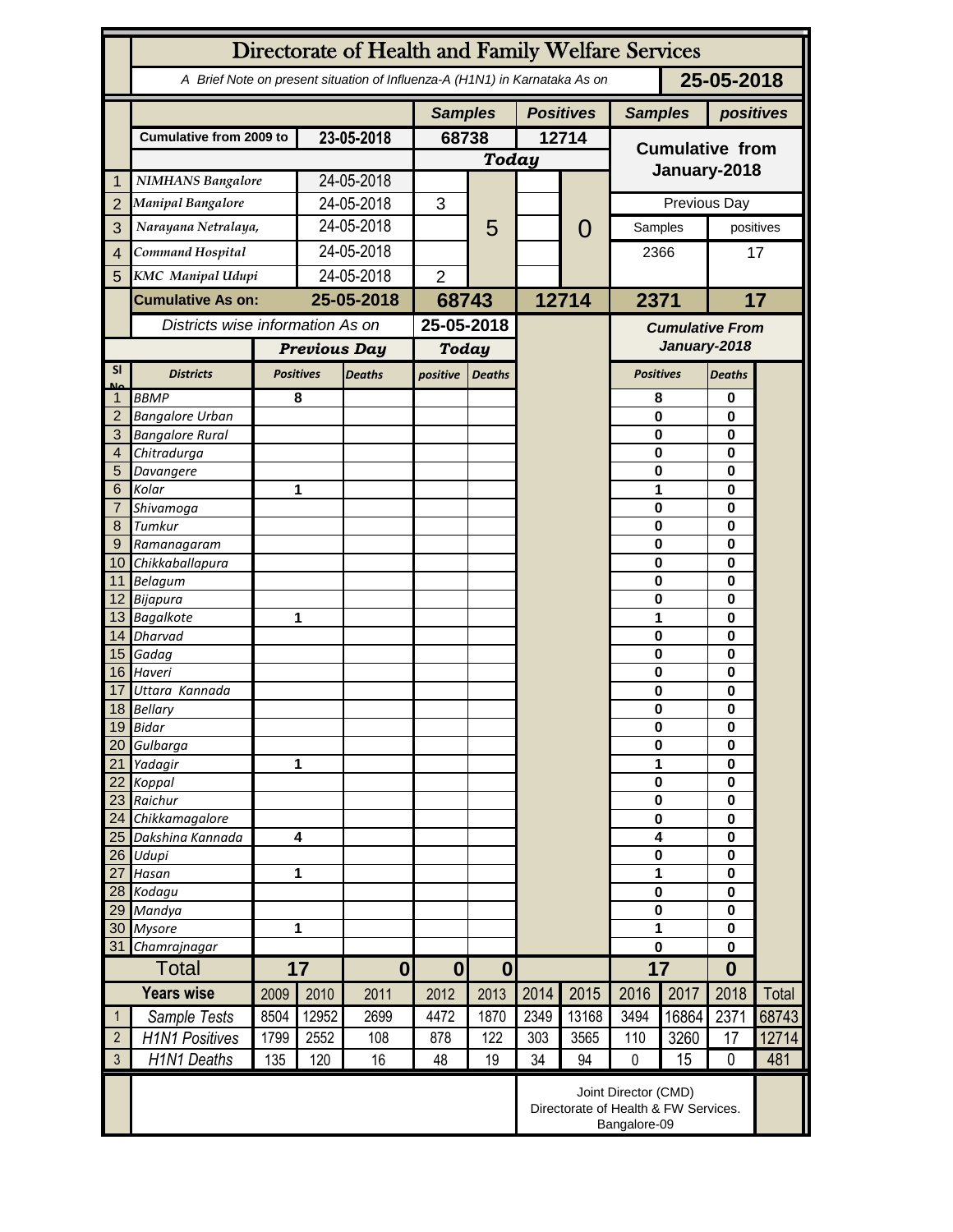|                   | Directorate of Health and Family Welfare Services                                        |           |                         |                |                  |                          |       |                                                                              |                             |                      |                      |       |  |
|-------------------|------------------------------------------------------------------------------------------|-----------|-------------------------|----------------|------------------|--------------------------|-------|------------------------------------------------------------------------------|-----------------------------|----------------------|----------------------|-------|--|
|                   | 25-05-2018<br>A Brief Note on present situation of Influenza-A (H1N1) in Karnataka As on |           |                         |                |                  |                          |       |                                                                              |                             |                      |                      |       |  |
|                   |                                                                                          |           |                         | <b>Samples</b> |                  | <b>Positives</b>         |       |                                                                              | <b>Samples</b><br>positives |                      |                      |       |  |
|                   | <b>Cumulative from 2009 to</b>                                                           |           | 23-05-2018              |                | 68738            |                          | 12714 |                                                                              | <b>Cumulative from</b>      |                      |                      |       |  |
|                   |                                                                                          |           |                         |                | <b>Today</b>     |                          |       |                                                                              |                             |                      |                      |       |  |
| 1                 | <b>NIMHANS Bangalore</b>                                                                 |           | 24-05-2018              |                |                  |                          |       |                                                                              | January-2018                |                      |                      |       |  |
| $\overline{2}$    | <b>Manipal Bangalore</b>                                                                 |           | 24-05-2018              |                | 3                |                          |       |                                                                              | Previous Day                |                      |                      |       |  |
| 3                 | Narayana Netralaya,                                                                      |           | 24-05-2018              |                |                  | 5                        |       | $\mathcal{O}$                                                                | Samples                     |                      | positives            |       |  |
| $\overline{4}$    | Command Hospital                                                                         |           | 24-05-2018              |                |                  |                          |       |                                                                              | 2366                        |                      | 17                   |       |  |
| 5                 | <b>KMC</b> Manipal Udupi                                                                 |           | 24-05-2018              |                | $\overline{2}$   |                          |       |                                                                              |                             |                      |                      |       |  |
|                   | <b>Cumulative As on:</b>                                                                 |           | 25-05-2018              |                |                  |                          | 12714 |                                                                              |                             |                      |                      |       |  |
|                   |                                                                                          |           |                         |                | 68743            |                          |       |                                                                              | 2371                        |                      | 17                   |       |  |
|                   | Districts wise information As on                                                         |           |                         | 25-05-2018     |                  |                          |       | <b>Cumulative From</b><br>January-2018                                       |                             |                      |                      |       |  |
|                   |                                                                                          |           | <b>Previous Day</b>     |                | <b>Today</b>     |                          |       |                                                                              |                             |                      |                      |       |  |
| <b>SI</b><br>Mz   | <b>Districts</b>                                                                         |           | <b>Positives</b>        | <b>Deaths</b>  | positive         | <b>Deaths</b>            |       |                                                                              | <b>Positives</b>            | <b>Deaths</b>        |                      |       |  |
|                   | <b>BBMP</b>                                                                              |           | 8                       |                |                  |                          |       |                                                                              | 8                           |                      | 0                    |       |  |
| $\overline{2}$    | <b>Bangalore Urban</b>                                                                   |           |                         |                |                  |                          |       |                                                                              | $\mathbf{0}$                |                      | 0                    |       |  |
| 3                 | <b>Bangalore Rural</b>                                                                   |           |                         |                |                  |                          |       |                                                                              | 0                           |                      | $\bf{0}$             |       |  |
| 4                 | Chitradurga                                                                              |           |                         |                |                  |                          |       |                                                                              | 0                           |                      | 0                    |       |  |
| 5<br>6            | Davangere<br>Kolar                                                                       |           |                         |                |                  |                          |       |                                                                              | 0<br>1                      |                      | 0<br>0               |       |  |
| 7                 |                                                                                          | Shivamoga |                         | 1              |                  |                          |       |                                                                              | $\mathbf 0$                 |                      | 0                    |       |  |
| 8                 | Tumkur                                                                                   |           |                         |                |                  |                          |       |                                                                              | $\mathbf 0$                 |                      | 0                    |       |  |
| 9                 | Ramanagaram                                                                              |           |                         |                |                  |                          |       |                                                                              | $\mathbf 0$                 |                      | 0                    |       |  |
| 10 <sup>°</sup>   | Chikkaballapura                                                                          |           |                         |                |                  |                          |       |                                                                              | 0                           |                      | 0                    |       |  |
|                   | 11 Belagum                                                                               |           |                         |                |                  |                          |       |                                                                              | $\bf{0}$                    | 0                    |                      |       |  |
|                   | 12 Bijapura                                                                              |           |                         |                |                  |                          |       |                                                                              | 0                           | $\bf{0}$             |                      |       |  |
|                   | 13 Bagalkote                                                                             |           |                         | 1              |                  |                          |       |                                                                              | 1                           |                      | $\bf{0}$             |       |  |
|                   | 14 Dharvad<br>15 Gadag                                                                   |           |                         |                |                  |                          |       |                                                                              | $\mathbf 0$<br>$\mathbf 0$  |                      | 0<br>0               |       |  |
|                   | 16 Haveri                                                                                |           |                         |                |                  |                          |       |                                                                              | $\mathbf 0$                 |                      | $\bf{0}$             |       |  |
| 17                | Uttara Kannada                                                                           |           |                         |                |                  |                          |       |                                                                              | 0                           |                      | 0                    |       |  |
|                   | 18 Bellary                                                                               |           |                         |                |                  |                          |       |                                                                              | 0                           |                      | 0                    |       |  |
|                   | 19 Bidar                                                                                 |           |                         |                |                  |                          |       |                                                                              | $\pmb{0}$                   |                      | 0                    |       |  |
| 20                | Gulbarga                                                                                 |           |                         |                |                  |                          |       |                                                                              | $\bf{0}$                    |                      | 0                    |       |  |
| 21                | 1<br>Yadagir                                                                             |           |                         |                |                  |                          |       |                                                                              | 1                           |                      | 0<br>$\bf{0}$        |       |  |
| 22<br>23          | Koppal<br>Raichur                                                                        |           |                         |                |                  |                          |       |                                                                              |                             | $\bf{0}$<br>$\bf{0}$ |                      |       |  |
| 24                | Chikkamagalore                                                                           |           |                         |                |                  |                          |       |                                                                              | $\bf{0}$                    |                      | $\bf{0}$<br>$\bf{0}$ |       |  |
| 25                | Dakshina Kannada                                                                         |           | $\overline{\mathbf{4}}$ |                |                  |                          |       |                                                                              | 4                           |                      | $\bf{0}$             |       |  |
| 26                | Udupi                                                                                    |           |                         |                |                  |                          |       |                                                                              | $\pmb{0}$                   |                      | $\bf{0}$             |       |  |
| 27                | Hasan                                                                                    |           |                         | 1              |                  |                          |       |                                                                              |                             | 1                    |                      |       |  |
|                   | 28 Kodagu                                                                                |           |                         |                |                  |                          |       |                                                                              | $\pmb{0}$                   |                      | $\bf{0}$<br>$\bf{0}$ |       |  |
| 29                | Mandya                                                                                   |           |                         |                |                  |                          |       |                                                                              |                             | $\bf{0}$             |                      |       |  |
| 30                | <b>Mysore</b>                                                                            |           | 1                       |                |                  |                          |       |                                                                              | 1<br>0                      |                      | $\bf{0}$             |       |  |
| 31                | Chamrajnagar<br><b>Total</b>                                                             |           | 17<br>$\mathbf{0}$      |                |                  |                          |       |                                                                              | 17                          |                      | $\bf{0}$<br>$\bf{0}$ |       |  |
| <b>Years wise</b> |                                                                                          | 2009      | 2010                    |                | $\bf{0}$<br>2012 | $\boldsymbol{0}$<br>2013 | 2014  | 2015                                                                         | 2016                        | 2017                 | 2018                 | Total |  |
|                   |                                                                                          |           |                         | 2011           |                  |                          |       |                                                                              |                             |                      |                      |       |  |
| $\mathbf{1}$      | Sample Tests                                                                             | 8504      | 12952                   | 2699           | 4472             | 1870                     | 2349  | 13168                                                                        | 3494                        | 16864                | 2371                 | 68743 |  |
| $\overline{2}$    | <b>H1N1 Positives</b>                                                                    | 1799      | 2552                    | 108            | 878              | 122                      | 303   | 3565                                                                         | 110                         | 3260                 | 17                   | 12714 |  |
| $\mathfrak{Z}$    | H1N1 Deaths                                                                              | 135       | 120                     | 16             | 48               | 19                       | 34    | 94                                                                           | $\mathbf 0$                 | 15                   | $\mathbf 0$          | 481   |  |
|                   |                                                                                          |           |                         |                |                  |                          |       | Joint Director (CMD)<br>Directorate of Health & FW Services.<br>Bangalore-09 |                             |                      |                      |       |  |